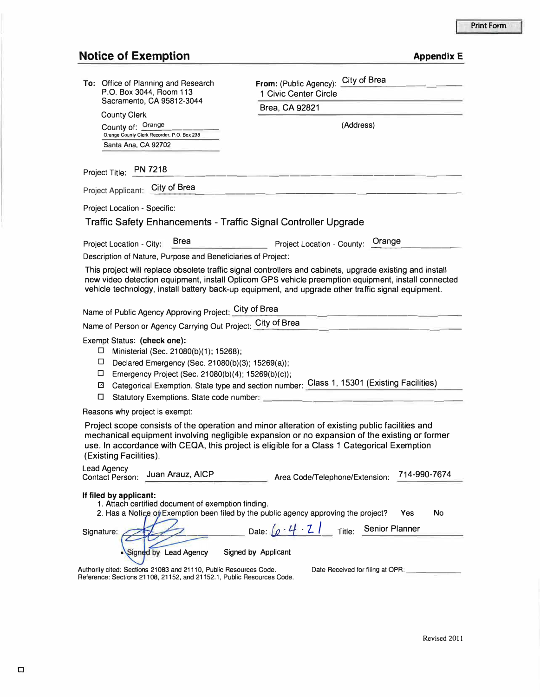## **Notice of Exemption**

| <b>Appendix E</b> |  |
|-------------------|--|

|                                                                                          | City of Brea                                                                                                                                                                                             |  |
|------------------------------------------------------------------------------------------|----------------------------------------------------------------------------------------------------------------------------------------------------------------------------------------------------------|--|
| To: Office of Planning and Research<br>P.O. Box 3044, Room 113                           | From: (Public Agency):<br>1 Civic Center Circle                                                                                                                                                          |  |
| Sacramento, CA 95812-3044                                                                | Brea, CA 92821                                                                                                                                                                                           |  |
| <b>County Clerk</b><br>County of: Orange                                                 | (Address)                                                                                                                                                                                                |  |
| Orange Counly Clerk Recorder, P.O. Box 238                                               |                                                                                                                                                                                                          |  |
| Santa Ana, CA 92702                                                                      |                                                                                                                                                                                                          |  |
| <b>PN 7218</b><br>Project Title:                                                         |                                                                                                                                                                                                          |  |
| Project Applicant: City of Brea                                                          |                                                                                                                                                                                                          |  |
| <b>Project Location - Specific:</b>                                                      |                                                                                                                                                                                                          |  |
| Traffic Safety Enhancements - Traffic Signal Controller Upgrade                          |                                                                                                                                                                                                          |  |
| <b>Brea</b>                                                                              | Orange                                                                                                                                                                                                   |  |
| Project Location - City:<br>Description of Nature, Purpose and Beneficiaries of Project: | Project Location - County:                                                                                                                                                                               |  |
|                                                                                          | This project will replace obsolete traffic signal controllers and cabinets, upgrade existing and install                                                                                                 |  |
|                                                                                          | new video detection equipment, install Opticom GPS vehicle preemption equipment, install connected<br>vehicle technology, install battery back-up equipment, and upgrade other traffic signal equipment. |  |
| Name of Public Agency Approving Project: City of Brea                                    |                                                                                                                                                                                                          |  |
| Name of Person or Agency Carrying Out Project: City of Brea                              |                                                                                                                                                                                                          |  |
| Exempt Status: (check one):                                                              |                                                                                                                                                                                                          |  |
| □<br>Ministerial (Sec. 21080(b)(1); 15268);                                              |                                                                                                                                                                                                          |  |
| □<br>Declared Emergency (Sec. 21080(b)(3); 15269(a));                                    |                                                                                                                                                                                                          |  |
| □<br>Emergency Project (Sec. 21080(b)(4); 15269(b)(c));<br>$\mathbf{x}$                  | Categorical Exemption. State type and section number: Class 1, 15301 (Existing Facilities)                                                                                                               |  |
| α<br>Statutory Exemptions. State code number: _                                          |                                                                                                                                                                                                          |  |
| Reasons why project is exempt:                                                           |                                                                                                                                                                                                          |  |
|                                                                                          | Project scope consists of the operation and minor alteration of existing public facilities and                                                                                                           |  |
|                                                                                          | mechanical equipment involving negligible expansion or no expansion of the existing or former                                                                                                            |  |
| (Existing Facilities).                                                                   | use. In accordance with CEQA, this project is eligible for a Class 1 Categorical Exemption                                                                                                               |  |
| <b>Lead Agency</b>                                                                       |                                                                                                                                                                                                          |  |
| Juan Arauz, AICP<br><b>Contact Person:</b>                                               | 714-990-7674<br>Area Code/Telephone/Extension:                                                                                                                                                           |  |
| If filed by applicant:                                                                   |                                                                                                                                                                                                          |  |
| 1. Attach certified document of exemption finding.                                       | 2. Has a Notice of Exemption been filed by the public agency approving the project?<br>Yes<br>No                                                                                                         |  |
| Signature:                                                                               | Date: $\left[\rho \cdot 4\right] \cdot 2$ Title: Senior Planner                                                                                                                                          |  |
|                                                                                          |                                                                                                                                                                                                          |  |
| Signed by Lead Agency                                                                    | Signed by Applicant                                                                                                                                                                                      |  |
| Authority cited: Sections 21083 and 21110, Public Resources Code.                        | Date Received for filing at OPR:                                                                                                                                                                         |  |
| Reference: Sections 21108, 21152, and 21152.1, Public Resources Code.                    |                                                                                                                                                                                                          |  |